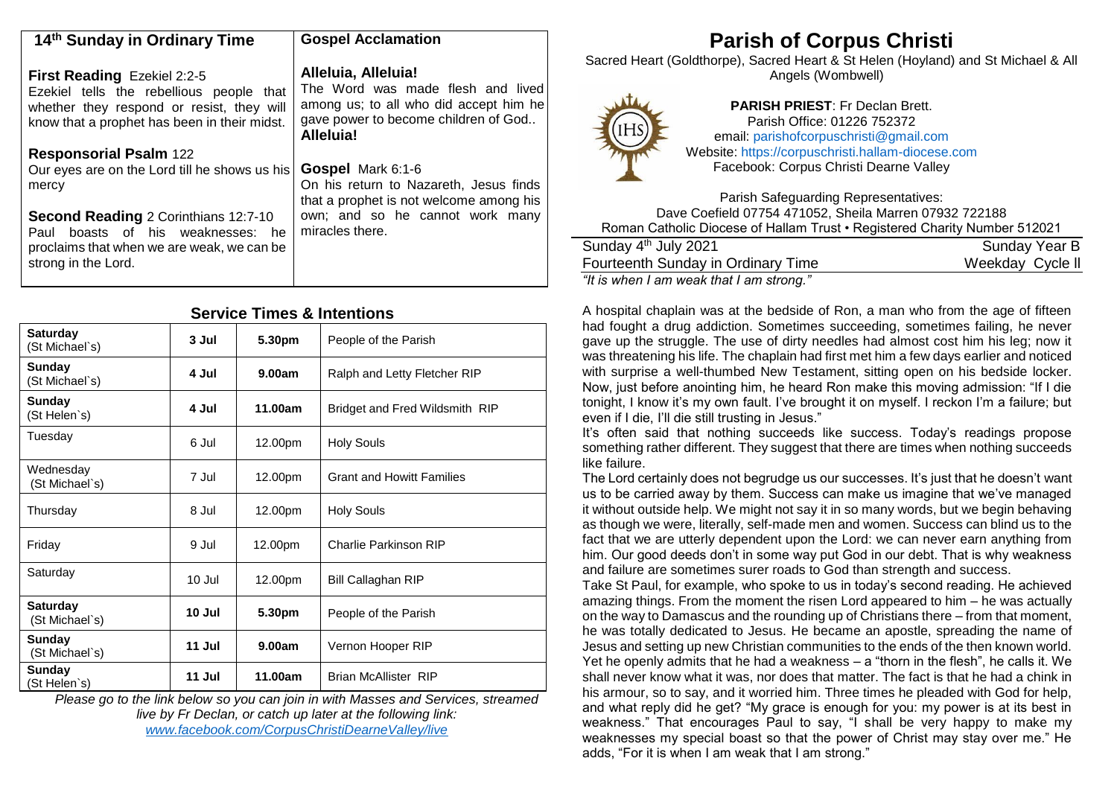| 14th Sunday in Ordinary Time                                                                                                                                                | <b>Gospel Acclamation</b>                                                                                                                                      |
|-----------------------------------------------------------------------------------------------------------------------------------------------------------------------------|----------------------------------------------------------------------------------------------------------------------------------------------------------------|
| <b>First Reading Ezekiel 2:2-5</b><br>Ezekiel tells the rebellious people that<br>whether they respond or resist, they will<br>know that a prophet has been in their midst. | Alleluia, Alleluia!<br>The Word was made flesh and lived<br>among us; to all who did accept him he<br>gave power to become children of God<br><b>Alleluia!</b> |
| <b>Responsorial Psalm 122</b>                                                                                                                                               |                                                                                                                                                                |
| Our eyes are on the Lord till he shows us his<br>mercy                                                                                                                      | <b>Gospel Mark 6:1-6</b><br>On his return to Nazareth, Jesus finds<br>that a prophet is not welcome among his                                                  |
| <b>Second Reading 2 Corinthians 12:7-10</b><br>boasts of his weaknesses: he<br>Paul<br>proclaims that when we are weak, we can be<br>strong in the Lord.                    | own; and so he cannot work many<br>miracles there.                                                                                                             |

## **Service Times & Intentions**

| <b>Saturday</b><br>(St Michael's) | 3 Jul  | 5.30pm  | People of the Parish             |
|-----------------------------------|--------|---------|----------------------------------|
| <b>Sunday</b><br>(St Michael's)   | 4 Jul  | 9.00am  | Ralph and Letty Fletcher RIP     |
| <b>Sunday</b><br>(St Helen's)     | 4 Jul  | 11.00am | Bridget and Fred Wildsmith RIP   |
| Tuesday                           | 6 Jul  | 12.00pm | <b>Holy Souls</b>                |
| Wednesday<br>(St Michael`s)       | 7 Jul  | 12.00pm | <b>Grant and Howitt Families</b> |
| Thursday                          | 8 Jul  | 12.00pm | <b>Holy Souls</b>                |
| Friday                            | 9 Jul  | 12.00pm | <b>Charlie Parkinson RIP</b>     |
| Saturday                          | 10 Jul | 12.00pm | Bill Callaghan RIP               |
| <b>Saturday</b><br>(St Michael`s) | 10 Jul | 5.30pm  | People of the Parish             |
| Sunday<br>(St Michael`s)          | 11 Jul | 9.00am  | Vernon Hooper RIP                |
| <b>Sunday</b><br>(St Helen`s)     | 11 Jul | 11.00am | <b>Brian McAllister RIP</b>      |

*Please go to the link below so you can join in with Masses and Services, streamed live by Fr Declan, or catch up later at the following link: [www.facebook.com/CorpusChristiDearneValley/live](http://www.facebook.com/CorpusChristiDearneValley/live)*

# **Parish of Corpus Christi**

Sacred Heart (Goldthorpe), Sacred Heart & St Helen (Hoyland) and St Michael & All Angels (Wombwell)



**PARISH PRIEST**: Fr Declan Brett. Parish Office: 01226 752372 email: [parishofcorpuschristi@gmail.com](mailto:parishofcorpuschristi@gmail.com) Website: [https://corpuschristi.hallam-diocese.com](https://corpuschristi.hallam-diocese.com/) Facebook: Corpus Christi Dearne Valley

Parish Safeguarding Representatives: Dave Coefield 07754 471052, Sheila Marren 07932 722188 Roman Catholic Diocese of Hallam Trust • Registered Charity Number 512021

| Sunday 4 <sup>th</sup> July 2021         | Sunday Year B    |
|------------------------------------------|------------------|
| Fourteenth Sunday in Ordinary Time       | Weekday Cycle II |
| "It is when I am weak that I am strong." |                  |

A hospital chaplain was at the bedside of Ron, a man who from the age of fifteen had fought a drug addiction. Sometimes succeeding, sometimes failing, he never gave up the struggle. The use of dirty needles had almost cost him his leg; now it was threatening his life. The chaplain had first met him a few days earlier and noticed with surprise a well-thumbed New Testament, sitting open on his bedside locker. Now, just before anointing him, he heard Ron make this moving admission: "If I die tonight, I know it's my own fault. I've brought it on myself. I reckon I'm a failure; but even if I die, I'll die still trusting in Jesus."

It's often said that nothing succeeds like success. Today's readings propose something rather different. They suggest that there are times when nothing succeeds like failure.

The Lord certainly does not begrudge us our successes. It's just that he doesn't want us to be carried away by them. Success can make us imagine that we've managed it without outside help. We might not say it in so many words, but we begin behaving as though we were, literally, self-made men and women. Success can blind us to the fact that we are utterly dependent upon the Lord: we can never earn anything from him. Our good deeds don't in some way put God in our debt. That is why weakness and failure are sometimes surer roads to God than strength and success.

Take St Paul, for example, who spoke to us in today's second reading. He achieved amazing things. From the moment the risen Lord appeared to him – he was actually on the way to Damascus and the rounding up of Christians there – from that moment, he was totally dedicated to Jesus. He became an apostle, spreading the name of Jesus and setting up new Christian communities to the ends of the then known world. Yet he openly admits that he had a weakness  $-$  a "thorn in the flesh", he calls it. We shall never know what it was, nor does that matter. The fact is that he had a chink in his armour, so to say, and it worried him. Three times he pleaded with God for help, and what reply did he get? "My grace is enough for you: my power is at its best in weakness." That encourages Paul to say, "I shall be very happy to make my weaknesses my special boast so that the power of Christ may stay over me." He adds, "For it is when I am weak that I am strong."